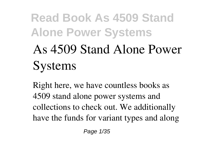# **As 4509 Stand Alone Power Systems**

Right here, we have countless books **as 4509 stand alone power systems** and collections to check out. We additionally have the funds for variant types and along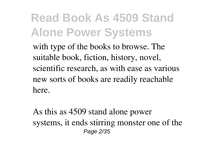with type of the books to browse. The suitable book, fiction, history, novel, scientific research, as with ease as various new sorts of books are readily reachable here.

As this as 4509 stand alone power systems, it ends stirring monster one of the Page 2/35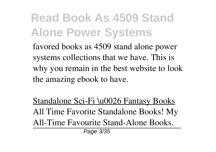favored books as 4509 stand alone power systems collections that we have. This is why you remain in the best website to look the amazing ebook to have.

Standalone Sci-Fi \u0026 Fantasy Books All Time Favorite Standalone Books! **My All-Time Favourite Stand-Alone Books.** Page 3/35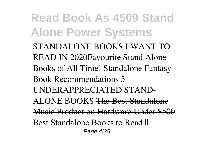**Read Book As 4509 Stand Alone Power Systems** STANDALONE BOOKS I WANT TO READ IN 2020**Favourite Stand Alone Books of All Time!** *Standalone Fantasy Book Recommendations 5 UNDERAPPRECIATED STAND-ALONE BOOKS* The Best Standalone Music Production Hardware Under \$50 Best Standalone Books to Read II Page 4/35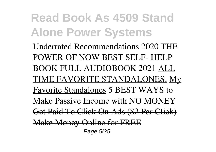Underrated Recommendations 2020 **THE POWER OF NOW BEST SELF- HELP BOOK FULL AUDIOBOOK 2021** ALL TIME FAVORITE STANDALONES. My Favorite Standalones **5 BEST WAYS to Make Passive Income with NO MONEY** Get Paid To Click On Ads (\$2 Per Click) Make Money Online for FR Page 5/35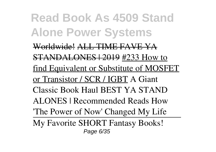**Read Book As 4509 Stand Alone Power Systems** Worldwide! ALL TIME FAVE YA STANDALONES | 2019 #233 How to find Equivalent or Substitute of MOSFET or Transistor / SCR / IGBT *A Giant Classic Book Haul* BEST YA STAND ALONES | Recommended Reads *How 'The Power of Now' Changed My Life* My Favorite SHORT Fantasy Books! Page 6/35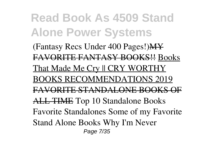**Read Book As 4509 Stand Alone Power Systems** (Fantasy Recs Under 400 Pages!)MY FAVORITE FANTASY BOOKS!! Books That Made Me Cry || CRY WORTHY BOOKS RECOMMENDATIONS 2019 FAVORITE STANDALONE BOOKS OF ALL TIME **Top 10 Standalone Books** Favorite Standalones Some of my Favorite Stand Alone Books **Why I'm Never** Page 7/35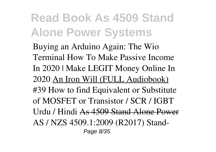**Buying an Arduino Again: The Wio Terminal How To Make Passive Income In 2020 | Make LEGIT Money Online In 2020** An Iron Will (FULL Audiobook) *#39 How to find Equivalent or Substitute of MOSFET or Transistor / SCR / IGBT Urdu / Hindi* As 4509 Stand Alone Power AS / NZS 4509.1:2009 (R2017) Stand-Page 8/35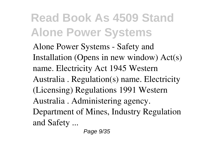Alone Power Systems - Safety and Installation (Opens in new window) Act(s) name. Electricity Act 1945 Western Australia . Regulation(s) name. Electricity (Licensing) Regulations 1991 Western Australia . Administering agency. Department of Mines, Industry Regulation and Safety ...

Page 9/35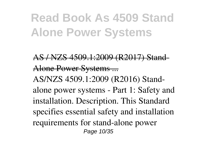AS / NZS 4509.1:2009 (R2017) Stand-Alone Power Systems ... AS/NZS 4509.1:2009 (R2016) Standalone power systems - Part 1: Safety and installation. Description. This Standard specifies essential safety and installation requirements for stand-alone power Page 10/35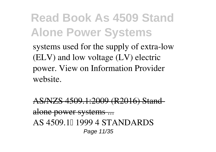systems used for the supply of extra-low (ELV) and low voltage (LV) electric power. View on Information Provider website.

AS/NZS 4509.1:2009 (R2016) St alone power systems ... AS 4509.11 1999 4 STANDARDS Page 11/35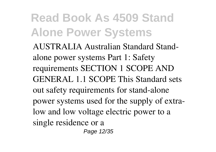AUSTRALIA Australian Standard Standalone power systems Part 1: Safety requirements SECTION 1 SCOPE AND GENERAL 1.1 SCOPE This Standard sets out safety requirements for stand-alone power systems used for the supply of extralow and low voltage electric power to a single residence or a

Page 12/35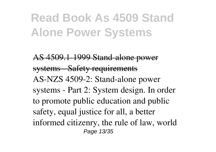AS 4509.1-1999 Stand-alone power systems Safety requirements AS-NZS 4509-2: Stand-alone power systems - Part 2: System design. In order to promote public education and public safety, equal justice for all, a better informed citizenry, the rule of law, world Page 13/35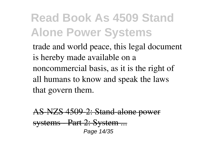trade and world peace, this legal document is hereby made available on a noncommercial basis, as it is the right of all humans to know and speak the laws that govern them.

 $7S$ - $4500$   $2.$  Stand-alone po systems - Part 2: System Page 14/35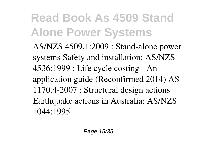AS/NZS 4509.1:2009 : Stand-alone power systems Safety and installation: AS/NZS 4536:1999 : Life cycle costing - An application guide (Reconfirmed 2014) AS 1170.4-2007 : Structural design actions Earthquake actions in Australia: AS/NZS 1044:1995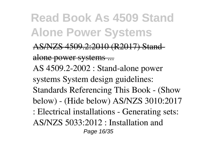- ZS 4509.2:2010 (R2017) Stand alone power systems ... AS 4509.2-2002 : Stand-alone power systems System design guidelines: Standards Referencing This Book - (Show
- below) (Hide below) AS/NZS 3010:2017
- : Electrical installations Generating sets:
- AS/NZS 5033:2012 : Installation and

Page 16/35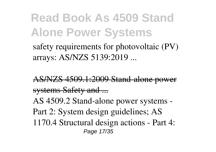safety requirements for photovoltaic (PV) arrays: AS/NZS 5139:2019 ...

AS/NZS 4509.1:2009 Stand-alone power systems Safety and ... AS 4509.2 Stand-alone power systems - Part 2: System design guidelines; AS 1170.4 Structural design actions - Part 4: Page 17/35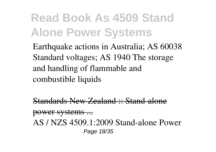Earthquake actions in Australia; AS 60038 Standard voltages; AS 1940 The storage and handling of flammable and combustible liquids

Standards New Zealand :: Stand-alone

power systems ... AS / NZS 4509.1:2009 Stand-alone Power Page 18/35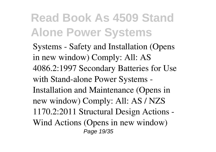Systems - Safety and Installation (Opens in new window) Comply: All: AS 4086.2:1997 Secondary Batteries for Use with Stand-alone Power Systems - Installation and Maintenance (Opens in new window) Comply: All: AS / NZS 1170.2:2011 Structural Design Actions - Wind Actions (Opens in new window) Page 19/35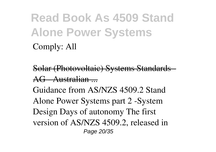#### **Read Book As 4509 Stand Alone Power Systems** Comply: All

Solar (Photovoltaic) Systems Standards  $AC$  Austral

Guidance from AS/NZS 4509.2 Stand Alone Power Systems part 2 -System Design Days of autonomy The first version of AS/NZS 4509.2, released in Page 20/35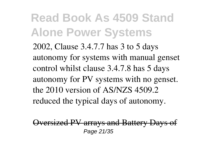2002, Clause 3.4.7.7 has 3 to 5 days autonomy for systems with manual genset control whilst clause 3.4.7.8 has 5 days autonomy for PV systems with no genset. the 2010 version of AS/NZS 4509.2 reduced the typical days of autonomy.

versized PV arrays and Battery Days of Page 21/35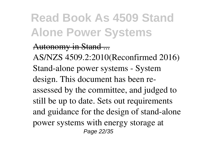#### Autonomy in Stand ...

AS/NZS 4509.2:2010(Reconfirmed 2016) Stand-alone power systems - System design. This document has been reassessed by the committee, and judged to still be up to date. Sets out requirements and guidance for the design of stand-alone power systems with energy storage at Page 22/35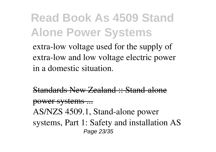extra-low voltage used for the supply of extra-low and low voltage electric power in a domestic situation.

Standards New Zealand :: Stand-alone

power systems ...

AS/NZS 4509.1, Stand-alone power systems, Part 1: Safety and installation AS Page 23/35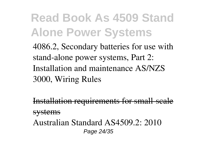4086.2, Secondary batteries for use with stand-alone power systems, Part 2: Installation and maintenance AS/NZS 3000, Wiring Rules

Installation requirements for small-scale systems Australian Standard AS4509.2: 2010 Page 24/35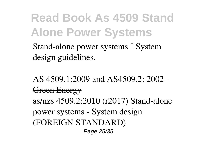Stand-alone power systems I System design guidelines.

AS 4509.1:2009 and AS4509.2: 2002 - Green Energy as/nzs 4509.2:2010 (r2017) Stand-alone power systems - System design (FOREIGN STANDARD) Page 25/35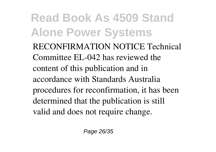RECONFIRMATION NOTICE Technical Committee EL-042 has reviewed the content of this publication and in accordance with Standards Australia procedures for reconfirmation, it has been determined that the publication is still valid and does not require change.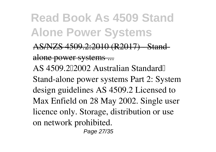ZS 4509.2:2010 (R2017) alone power systems ... AS 4509.2∏2002 Australian Standard∏ Stand-alone power systems Part 2: System design guidelines AS 4509.2 Licensed to Max Enfield on 28 May 2002. Single user licence only. Storage, distribution or use on network prohibited.

Page 27/35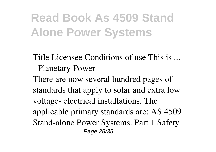Title Licensee Conditions of use This is - Planetary Power

There are now several hundred pages of standards that apply to solar and extra low voltage- electrical installations. The applicable primary standards are: AS 4509 Stand-alone Power Systems. Part 1 Safety Page 28/35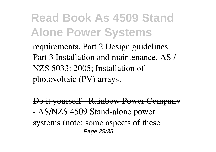requirements. Part 2 Design guidelines. Part 3 Installation and maintenance. AS / NZS 5033: 2005; Installation of photovoltaic (PV) arrays.

Do it yourself Rainbow Power Company - AS/NZS 4509 Stand-alone power systems (note: some aspects of these Page 29/35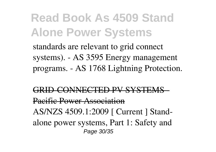standards are relevant to grid connect systems). - AS 3595 Energy management programs. - AS 1768 Lightning Protection.

#### INE*C*TED BV SVST

Pacific Power Association

AS/NZS 4509.1:2009 [ Current ] Standalone power systems, Part 1: Safety and Page 30/35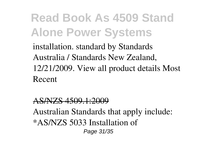installation. standard by Standards Australia / Standards New Zealand, 12/21/2009. View all product details Most Recent

#### AS/NZS 4509.1:2009

Australian Standards that apply include: \*AS/NZS 5033 Installation of Page 31/35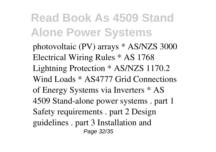photovoltaic (PV) arrays \* AS/NZS 3000 Electrical Wiring Rules \* AS 1768 Lightning Protection \* AS/NZS 1170.2 Wind Loads \* AS4777 Grid Connections of Energy Systems via Inverters \* AS 4509 Stand-alone power systems . part 1 Safety requirements . part 2 Design guidelines . part 3 Installation and Page 32/35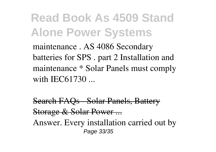maintenance . AS 4086 Secondary batteries for SPS . part 2 Installation and maintenance \* Solar Panels must comply with IEC61730 ...

Search FAQs - Solar Panels, Battery Storage & Solar Power ... Answer. Every installation carried out by Page 33/35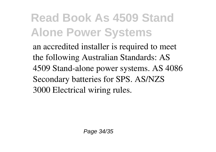an accredited installer is required to meet the following Australian Standards: AS 4509 Stand-alone power systems. AS 4086 Secondary batteries for SPS. AS/NZS 3000 Electrical wiring rules.